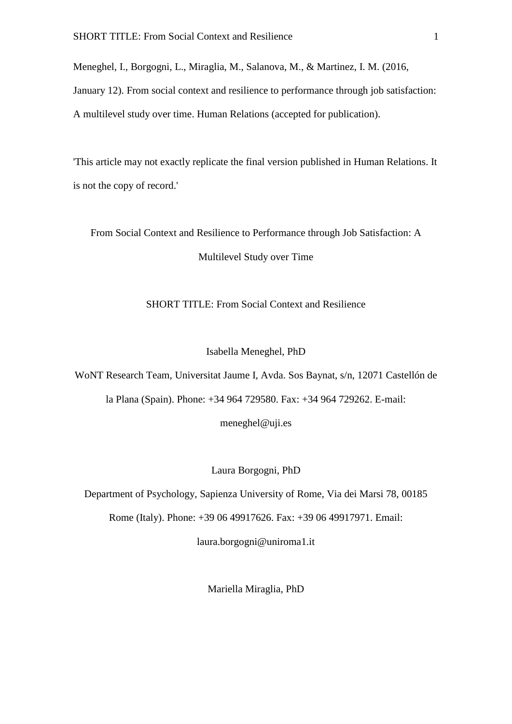Meneghel, I., Borgogni, L., Miraglia, M., Salanova, M., & Martinez, I. M. (2016, January 12). From social context and resilience to performance through job satisfaction: A multilevel study over time. Human Relations (accepted for publication).

'This article may not exactly replicate the final version published in Human Relations. It is not the copy of record.'

From Social Context and Resilience to Performance through Job Satisfaction: A Multilevel Study over Time

SHORT TITLE: From Social Context and Resilience

#### Isabella Meneghel, PhD

WoNT Research Team, Universitat Jaume I, Avda. Sos Baynat, s/n, 12071 Castellón de la Plana (Spain). Phone: +34 964 729580. Fax: +34 964 729262. E-mail:

meneghel@uji.es

#### Laura Borgogni, PhD

Department of Psychology, Sapienza University of Rome, Via dei Marsi 78, 00185

Rome (Italy). Phone: +39 06 49917626. Fax: +39 06 49917971. Email:

laura.borgogni@uniroma1.it

Mariella Miraglia, PhD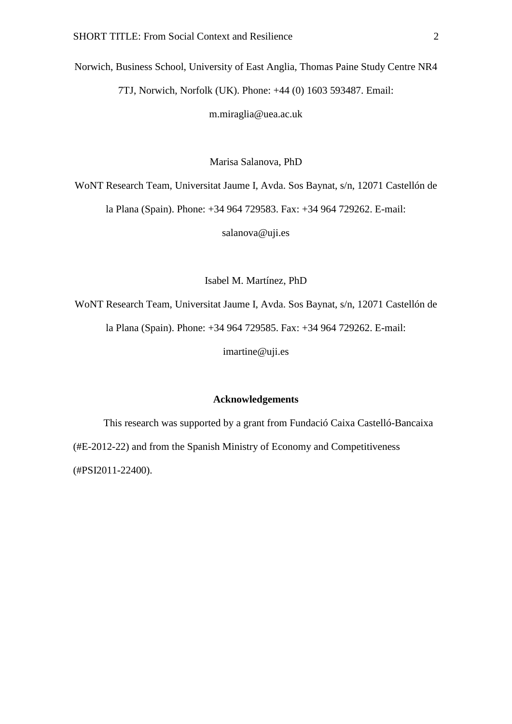Norwich, Business School, University of East Anglia, Thomas Paine Study Centre NR4 7TJ, Norwich, Norfolk (UK). Phone: +44 (0) 1603 593487. Email:

m.miraglia@uea.ac.uk

Marisa Salanova, PhD

WoNT Research Team, Universitat Jaume I, Avda. Sos Baynat, s/n, 12071 Castellón de

la Plana (Spain). Phone: +34 964 729583. Fax: +34 964 729262. E-mail:

salanova@uji.es

Isabel M. Martínez, PhD

WoNT Research Team, Universitat Jaume I, Avda. Sos Baynat, s/n, 12071 Castellón de la Plana (Spain). Phone: +34 964 729585. Fax: +34 964 729262. E-mail: imartine@uji.es

### **Acknowledgements**

This research was supported by a grant from Fundació Caixa Castelló-Bancaixa (#E-2012-22) and from the Spanish Ministry of Economy and Competitiveness (#PSI2011-22400).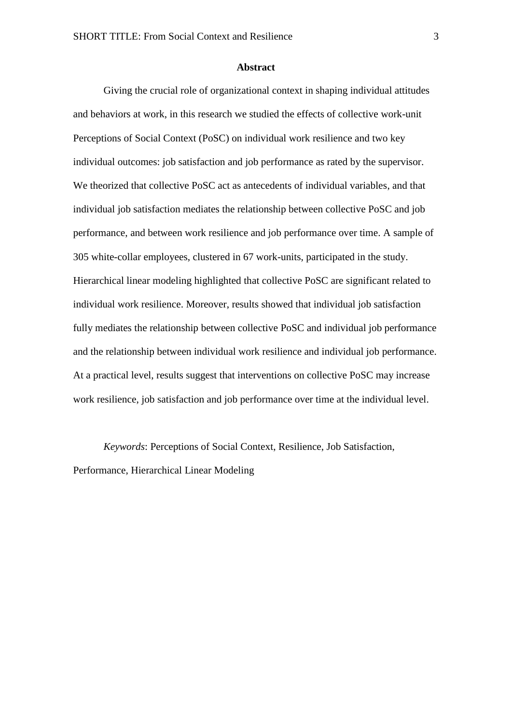#### **Abstract**

Giving the crucial role of organizational context in shaping individual attitudes and behaviors at work, in this research we studied the effects of collective work-unit Perceptions of Social Context (PoSC) on individual work resilience and two key individual outcomes: job satisfaction and job performance as rated by the supervisor. We theorized that collective PoSC act as antecedents of individual variables, and that individual job satisfaction mediates the relationship between collective PoSC and job performance, and between work resilience and job performance over time. A sample of 305 white-collar employees, clustered in 67 work-units, participated in the study. Hierarchical linear modeling highlighted that collective PoSC are significant related to individual work resilience. Moreover, results showed that individual job satisfaction fully mediates the relationship between collective PoSC and individual job performance and the relationship between individual work resilience and individual job performance. At a practical level, results suggest that interventions on collective PoSC may increase work resilience, job satisfaction and job performance over time at the individual level.

*Keywords*: Perceptions of Social Context, Resilience, Job Satisfaction, Performance, Hierarchical Linear Modeling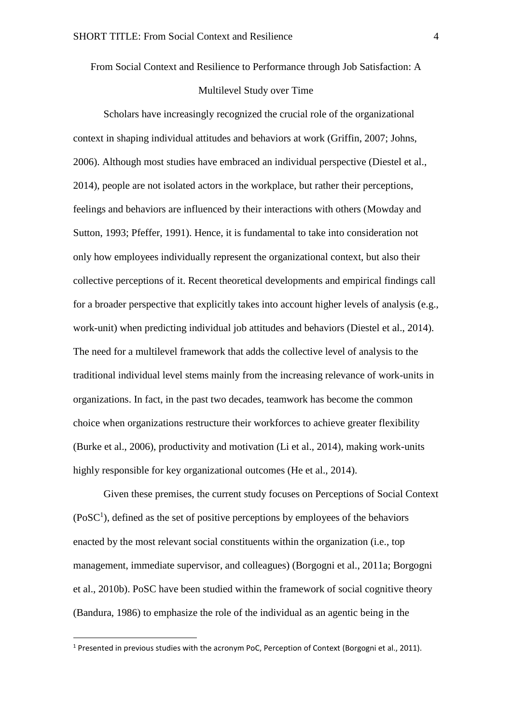From Social Context and Resilience to Performance through Job Satisfaction: A

# Multilevel Study over Time

Scholars have increasingly recognized the crucial role of the organizational context in shaping individual attitudes and behaviors at work (Griffin, 2007; Johns, 2006). Although most studies have embraced an individual perspective (Diestel et al., 2014), people are not isolated actors in the workplace, but rather their perceptions, feelings and behaviors are influenced by their interactions with others (Mowday and Sutton, 1993; Pfeffer, 1991). Hence, it is fundamental to take into consideration not only how employees individually represent the organizational context, but also their collective perceptions of it. Recent theoretical developments and empirical findings call for a broader perspective that explicitly takes into account higher levels of analysis (e.g., work-unit) when predicting individual job attitudes and behaviors (Diestel et al., 2014). The need for a multilevel framework that adds the collective level of analysis to the traditional individual level stems mainly from the increasing relevance of work-units in organizations. In fact, in the past two decades, teamwork has become the common choice when organizations restructure their workforces to achieve greater flexibility (Burke et al., 2006), productivity and motivation (Li et al., 2014), making work-units highly responsible for key organizational outcomes (He et al., 2014).

Given these premises, the current study focuses on Perceptions of Social Context  $(PosC<sup>1</sup>)$ , defined as the set of positive perceptions by employees of the behaviors enacted by the most relevant social constituents within the organization (i.e., top management, immediate supervisor, and colleagues) (Borgogni et al., 2011a; Borgogni et al., 2010b). PoSC have been studied within the framework of social cognitive theory (Bandura, 1986) to emphasize the role of the individual as an agentic being in the

1

<sup>&</sup>lt;sup>1</sup> Presented in previous studies with the acronym PoC. Perception of Context (Borgogni et al., 2011).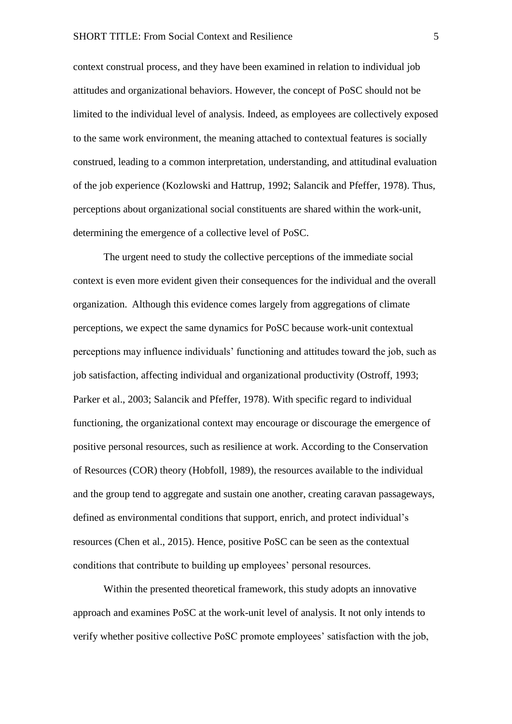context construal process, and they have been examined in relation to individual job attitudes and organizational behaviors. However, the concept of PoSC should not be limited to the individual level of analysis. Indeed, as employees are collectively exposed to the same work environment, the meaning attached to contextual features is socially construed, leading to a common interpretation, understanding, and attitudinal evaluation of the job experience (Kozlowski and Hattrup, 1992; Salancik and Pfeffer, 1978). Thus, perceptions about organizational social constituents are shared within the work-unit, determining the emergence of a collective level of PoSC.

The urgent need to study the collective perceptions of the immediate social context is even more evident given their consequences for the individual and the overall organization. Although this evidence comes largely from aggregations of climate perceptions, we expect the same dynamics for PoSC because work-unit contextual perceptions may influence individuals' functioning and attitudes toward the job, such as job satisfaction, affecting individual and organizational productivity (Ostroff, 1993; Parker et al., 2003; Salancik and Pfeffer, 1978). With specific regard to individual functioning, the organizational context may encourage or discourage the emergence of positive personal resources, such as resilience at work. According to the Conservation of Resources (COR) theory (Hobfoll, 1989), the resources available to the individual and the group tend to aggregate and sustain one another, creating caravan passageways, defined as environmental conditions that support, enrich, and protect individual's resources (Chen et al., 2015). Hence, positive PoSC can be seen as the contextual conditions that contribute to building up employees' personal resources.

Within the presented theoretical framework, this study adopts an innovative approach and examines PoSC at the work-unit level of analysis. It not only intends to verify whether positive collective PoSC promote employees' satisfaction with the job,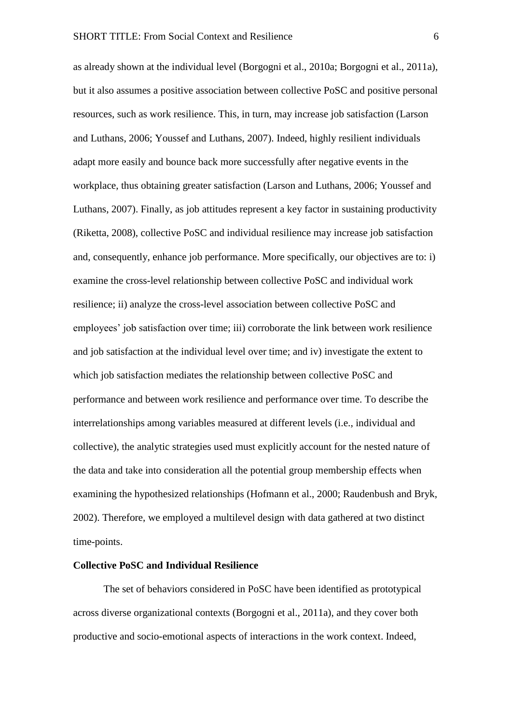as already shown at the individual level (Borgogni et al., 2010a; Borgogni et al., 2011a), but it also assumes a positive association between collective PoSC and positive personal resources, such as work resilience. This, in turn, may increase job satisfaction (Larson and Luthans, 2006; Youssef and Luthans, 2007). Indeed, highly resilient individuals adapt more easily and bounce back more successfully after negative events in the workplace, thus obtaining greater satisfaction (Larson and Luthans, 2006; Youssef and Luthans, 2007). Finally, as job attitudes represent a key factor in sustaining productivity (Riketta, 2008), collective PoSC and individual resilience may increase job satisfaction and, consequently, enhance job performance. More specifically, our objectives are to: i) examine the cross-level relationship between collective PoSC and individual work resilience; ii) analyze the cross-level association between collective PoSC and employees' job satisfaction over time; iii) corroborate the link between work resilience and job satisfaction at the individual level over time; and iv) investigate the extent to which job satisfaction mediates the relationship between collective PoSC and performance and between work resilience and performance over time. To describe the interrelationships among variables measured at different levels (i.e., individual and collective), the analytic strategies used must explicitly account for the nested nature of the data and take into consideration all the potential group membership effects when examining the hypothesized relationships (Hofmann et al., 2000; Raudenbush and Bryk, 2002). Therefore, we employed a multilevel design with data gathered at two distinct time-points.

#### **Collective PoSC and Individual Resilience**

The set of behaviors considered in PoSC have been identified as prototypical across diverse organizational contexts (Borgogni et al., 2011a), and they cover both productive and socio-emotional aspects of interactions in the work context. Indeed,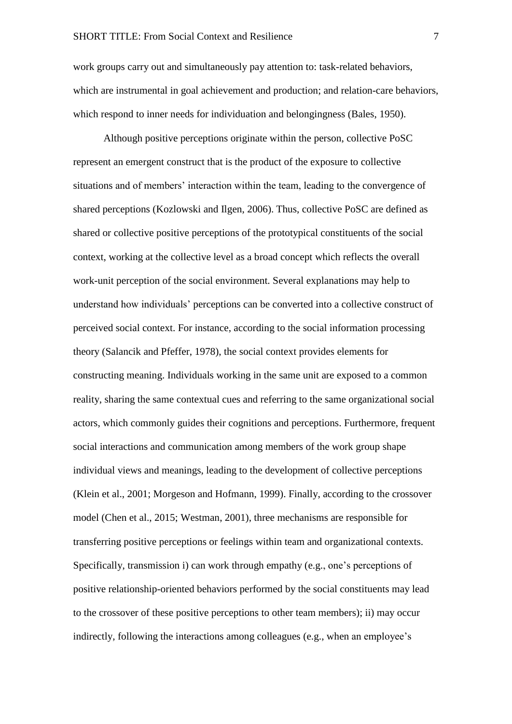work groups carry out and simultaneously pay attention to: task-related behaviors, which are instrumental in goal achievement and production; and relation-care behaviors, which respond to inner needs for individuation and belongingness (Bales, 1950).

Although positive perceptions originate within the person, collective PoSC represent an emergent construct that is the product of the exposure to collective situations and of members' interaction within the team, leading to the convergence of shared perceptions (Kozlowski and Ilgen, 2006). Thus, collective PoSC are defined as shared or collective positive perceptions of the prototypical constituents of the social context, working at the collective level as a broad concept which reflects the overall work-unit perception of the social environment. Several explanations may help to understand how individuals' perceptions can be converted into a collective construct of perceived social context. For instance, according to the social information processing theory (Salancik and Pfeffer, 1978), the social context provides elements for constructing meaning. Individuals working in the same unit are exposed to a common reality, sharing the same contextual cues and referring to the same organizational social actors, which commonly guides their cognitions and perceptions. Furthermore, frequent social interactions and communication among members of the work group shape individual views and meanings, leading to the development of collective perceptions (Klein et al., 2001; Morgeson and Hofmann, 1999). Finally, according to the crossover model (Chen et al., 2015; Westman, 2001), three mechanisms are responsible for transferring positive perceptions or feelings within team and organizational contexts. Specifically, transmission i) can work through empathy (e.g., one's perceptions of positive relationship-oriented behaviors performed by the social constituents may lead to the crossover of these positive perceptions to other team members); ii) may occur indirectly, following the interactions among colleagues (e.g., when an employee's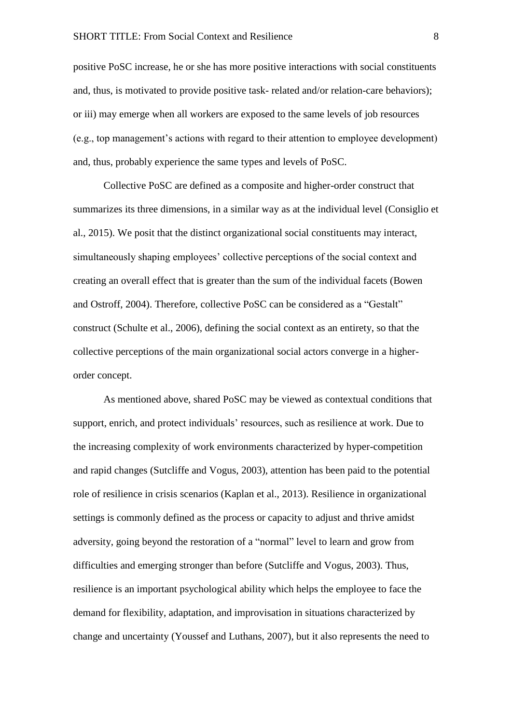positive PoSC increase, he or she has more positive interactions with social constituents and, thus, is motivated to provide positive task- related and/or relation-care behaviors); or iii) may emerge when all workers are exposed to the same levels of job resources (e.g., top management's actions with regard to their attention to employee development) and, thus, probably experience the same types and levels of PoSC.

Collective PoSC are defined as a composite and higher-order construct that summarizes its three dimensions, in a similar way as at the individual level (Consiglio et al., 2015). We posit that the distinct organizational social constituents may interact, simultaneously shaping employees' collective perceptions of the social context and creating an overall effect that is greater than the sum of the individual facets (Bowen and Ostroff, 2004). Therefore, collective PoSC can be considered as a "Gestalt" construct (Schulte et al., 2006), defining the social context as an entirety, so that the collective perceptions of the main organizational social actors converge in a higherorder concept.

As mentioned above, shared PoSC may be viewed as contextual conditions that support, enrich, and protect individuals' resources, such as resilience at work. Due to the increasing complexity of work environments characterized by hyper-competition and rapid changes (Sutcliffe and Vogus, 2003), attention has been paid to the potential role of resilience in crisis scenarios (Kaplan et al., 2013). Resilience in organizational settings is commonly defined as the process or capacity to adjust and thrive amidst adversity, going beyond the restoration of a "normal" level to learn and grow from difficulties and emerging stronger than before (Sutcliffe and Vogus, 2003). Thus, resilience is an important psychological ability which helps the employee to face the demand for flexibility, adaptation, and improvisation in situations characterized by change and uncertainty (Youssef and Luthans, 2007), but it also represents the need to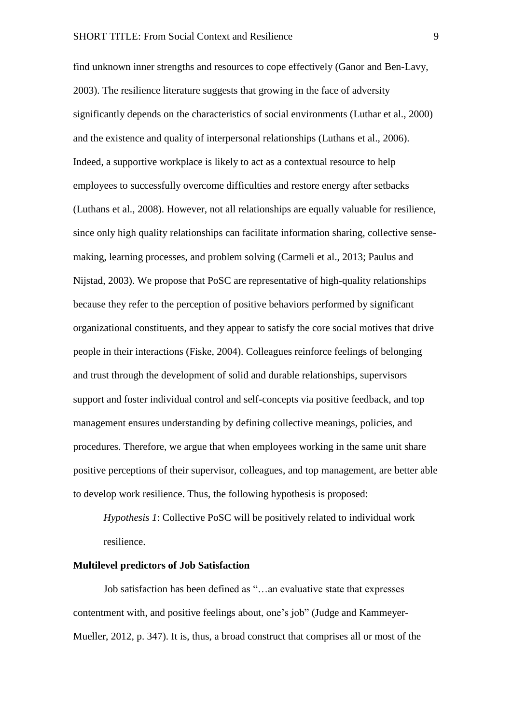find unknown inner strengths and resources to cope effectively (Ganor and Ben-Lavy, 2003). The resilience literature suggests that growing in the face of adversity significantly depends on the characteristics of social environments (Luthar et al., 2000) and the existence and quality of interpersonal relationships (Luthans et al., 2006). Indeed, a supportive workplace is likely to act as a contextual resource to help employees to successfully overcome difficulties and restore energy after setbacks (Luthans et al., 2008). However, not all relationships are equally valuable for resilience, since only high quality relationships can facilitate information sharing, collective sensemaking, learning processes, and problem solving (Carmeli et al., 2013; Paulus and Nijstad, 2003). We propose that PoSC are representative of high-quality relationships because they refer to the perception of positive behaviors performed by significant organizational constituents, and they appear to satisfy the core social motives that drive people in their interactions (Fiske, 2004). Colleagues reinforce feelings of belonging and trust through the development of solid and durable relationships, supervisors support and foster individual control and self-concepts via positive feedback, and top management ensures understanding by defining collective meanings, policies, and procedures. Therefore, we argue that when employees working in the same unit share positive perceptions of their supervisor, colleagues, and top management, are better able to develop work resilience. Thus, the following hypothesis is proposed:

*Hypothesis 1*: Collective PoSC will be positively related to individual work resilience.

### **Multilevel predictors of Job Satisfaction**

Job satisfaction has been defined as "…an evaluative state that expresses contentment with, and positive feelings about, one's job" (Judge and Kammeyer-Mueller, 2012, p. 347). It is, thus, a broad construct that comprises all or most of the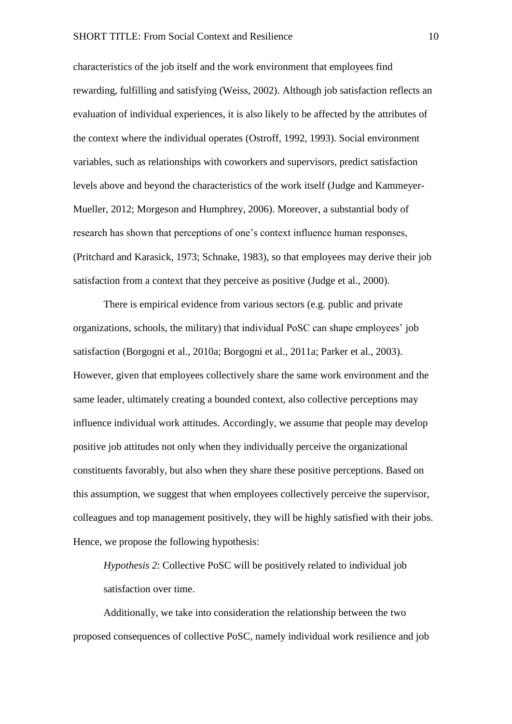characteristics of the job itself and the work environment that employees find rewarding, fulfilling and satisfying (Weiss, 2002). Although job satisfaction reflects an evaluation of individual experiences, it is also likely to be affected by the attributes of the context where the individual operates (Ostroff, 1992, 1993). Social environment variables, such as relationships with coworkers and supervisors, predict satisfaction levels above and beyond the characteristics of the work itself (Judge and Kammeyer-Mueller, 2012; Morgeson and Humphrey, 2006). Moreover, a substantial body of research has shown that perceptions of one's context influence human responses, (Pritchard and Karasick, 1973; Schnake, 1983), so that employees may derive their job satisfaction from a context that they perceive as positive (Judge et al., 2000).

There is empirical evidence from various sectors (e.g. public and private organizations, schools, the military) that individual PoSC can shape employees' job satisfaction (Borgogni et al., 2010a; Borgogni et al., 2011a; Parker et al., 2003). However, given that employees collectively share the same work environment and the same leader, ultimately creating a bounded context, also collective perceptions may influence individual work attitudes. Accordingly, we assume that people may develop positive job attitudes not only when they individually perceive the organizational constituents favorably, but also when they share these positive perceptions. Based on this assumption, we suggest that when employees collectively perceive the supervisor, colleagues and top management positively, they will be highly satisfied with their jobs. Hence, we propose the following hypothesis:

*Hypothesis 2*: Collective PoSC will be positively related to individual job satisfaction over time.

Additionally, we take into consideration the relationship between the two proposed consequences of collective PoSC, namely individual work resilience and job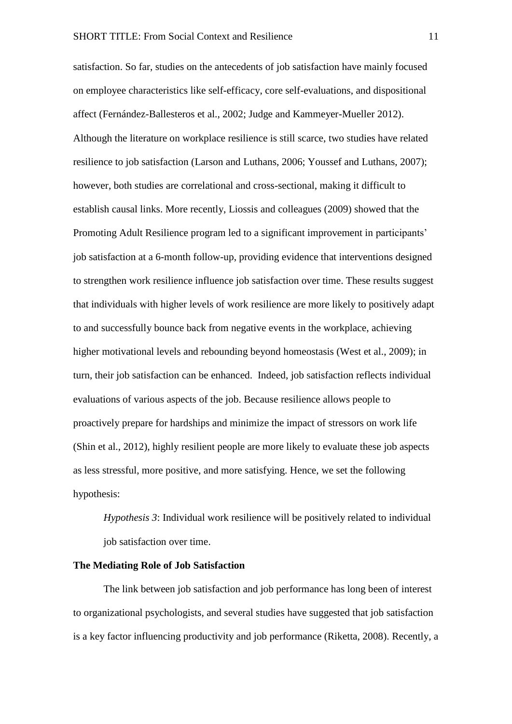satisfaction. So far, studies on the antecedents of job satisfaction have mainly focused on employee characteristics like self-efficacy, core self-evaluations, and dispositional affect (Fernández-Ballesteros et al., 2002; Judge and Kammeyer-Mueller 2012). Although the literature on workplace resilience is still scarce, two studies have related resilience to job satisfaction (Larson and Luthans, 2006; Youssef and Luthans, 2007); however, both studies are correlational and cross-sectional, making it difficult to establish causal links. More recently, Liossis and colleagues (2009) showed that the Promoting Adult Resilience program led to a significant improvement in participants' job satisfaction at a 6-month follow-up, providing evidence that interventions designed to strengthen work resilience influence job satisfaction over time. These results suggest that individuals with higher levels of work resilience are more likely to positively adapt to and successfully bounce back from negative events in the workplace, achieving higher motivational levels and rebounding beyond homeostasis (West et al., 2009); in turn, their job satisfaction can be enhanced. Indeed, job satisfaction reflects individual evaluations of various aspects of the job. Because resilience allows people to proactively prepare for hardships and minimize the impact of stressors on work life (Shin et al., 2012), highly resilient people are more likely to evaluate these job aspects as less stressful, more positive, and more satisfying. Hence, we set the following hypothesis:

*Hypothesis 3*: Individual work resilience will be positively related to individual job satisfaction over time.

### **The Mediating Role of Job Satisfaction**

The link between job satisfaction and job performance has long been of interest to organizational psychologists, and several studies have suggested that job satisfaction is a key factor influencing productivity and job performance (Riketta, 2008). Recently, a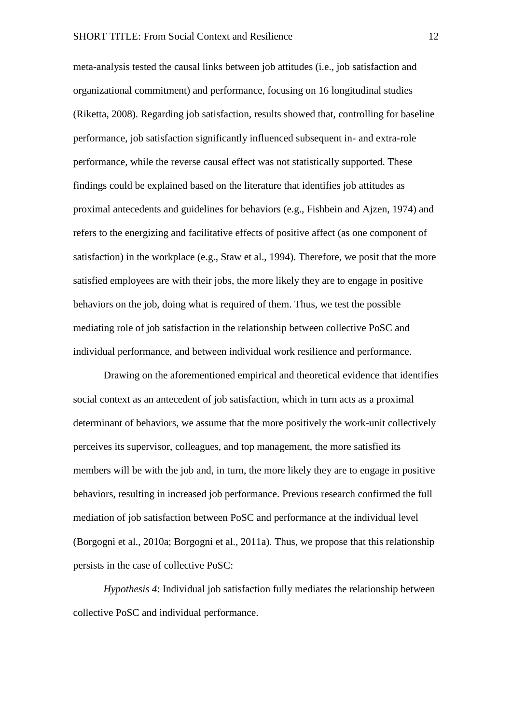meta-analysis tested the causal links between job attitudes (i.e., job satisfaction and organizational commitment) and performance, focusing on 16 longitudinal studies (Riketta, 2008). Regarding job satisfaction, results showed that, controlling for baseline performance, job satisfaction significantly influenced subsequent in- and extra-role performance, while the reverse causal effect was not statistically supported. These findings could be explained based on the literature that identifies job attitudes as proximal antecedents and guidelines for behaviors (e.g., Fishbein and Ajzen, 1974) and refers to the energizing and facilitative effects of positive affect (as one component of satisfaction) in the workplace (e.g., Staw et al., 1994). Therefore, we posit that the more satisfied employees are with their jobs, the more likely they are to engage in positive behaviors on the job, doing what is required of them. Thus, we test the possible mediating role of job satisfaction in the relationship between collective PoSC and individual performance, and between individual work resilience and performance.

Drawing on the aforementioned empirical and theoretical evidence that identifies social context as an antecedent of job satisfaction, which in turn acts as a proximal determinant of behaviors, we assume that the more positively the work-unit collectively perceives its supervisor, colleagues, and top management, the more satisfied its members will be with the job and, in turn, the more likely they are to engage in positive behaviors, resulting in increased job performance. Previous research confirmed the full mediation of job satisfaction between PoSC and performance at the individual level (Borgogni et al., 2010a; Borgogni et al., 2011a). Thus, we propose that this relationship persists in the case of collective PoSC:

*Hypothesis 4*: Individual job satisfaction fully mediates the relationship between collective PoSC and individual performance.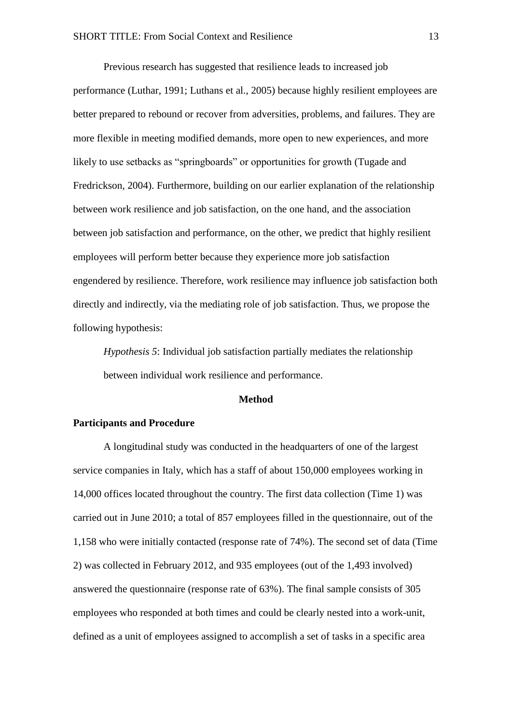Previous research has suggested that resilience leads to increased job performance (Luthar, 1991; Luthans et al., 2005) because highly resilient employees are better prepared to rebound or recover from adversities, problems, and failures. They are more flexible in meeting modified demands, more open to new experiences, and more likely to use setbacks as "springboards" or opportunities for growth (Tugade and Fredrickson, 2004). Furthermore, building on our earlier explanation of the relationship between work resilience and job satisfaction, on the one hand, and the association between job satisfaction and performance, on the other, we predict that highly resilient employees will perform better because they experience more job satisfaction engendered by resilience. Therefore, work resilience may influence job satisfaction both directly and indirectly, via the mediating role of job satisfaction. Thus, we propose the following hypothesis:

*Hypothesis 5*: Individual job satisfaction partially mediates the relationship between individual work resilience and performance.

### **Method**

### **Participants and Procedure**

A longitudinal study was conducted in the headquarters of one of the largest service companies in Italy, which has a staff of about 150,000 employees working in 14,000 offices located throughout the country. The first data collection (Time 1) was carried out in June 2010; a total of 857 employees filled in the questionnaire, out of the 1,158 who were initially contacted (response rate of 74%). The second set of data (Time 2) was collected in February 2012, and 935 employees (out of the 1,493 involved) answered the questionnaire (response rate of 63%). The final sample consists of 305 employees who responded at both times and could be clearly nested into a work-unit, defined as a unit of employees assigned to accomplish a set of tasks in a specific area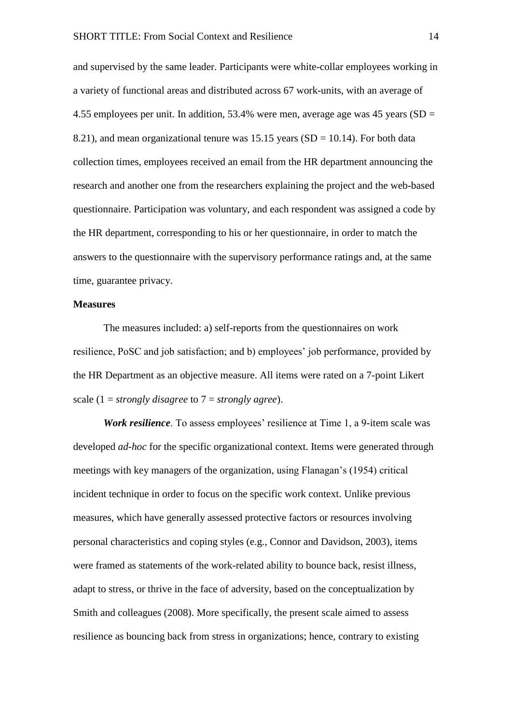and supervised by the same leader. Participants were white-collar employees working in a variety of functional areas and distributed across 67 work-units, with an average of 4.55 employees per unit. In addition, 53.4% were men, average age was 45 years (SD = 8.21), and mean organizational tenure was  $15.15$  years (SD = 10.14). For both data collection times, employees received an email from the HR department announcing the research and another one from the researchers explaining the project and the web-based questionnaire. Participation was voluntary, and each respondent was assigned a code by the HR department, corresponding to his or her questionnaire, in order to match the answers to the questionnaire with the supervisory performance ratings and, at the same time, guarantee privacy.

#### **Measures**

The measures included: a) self-reports from the questionnaires on work resilience, PoSC and job satisfaction; and b) employees' job performance, provided by the HR Department as an objective measure. All items were rated on a 7-point Likert scale (1 = *strongly disagree* to 7 = *strongly agree*).

*Work resilience*. To assess employees' resilience at Time 1, a 9-item scale was developed *ad-hoc* for the specific organizational context. Items were generated through meetings with key managers of the organization, using Flanagan's (1954) critical incident technique in order to focus on the specific work context. Unlike previous measures, which have generally assessed protective factors or resources involving personal characteristics and coping styles (e.g., Connor and Davidson, 2003), items were framed as statements of the work-related ability to bounce back, resist illness, adapt to stress, or thrive in the face of adversity, based on the conceptualization by Smith and colleagues (2008). More specifically, the present scale aimed to assess resilience as bouncing back from stress in organizations; hence, contrary to existing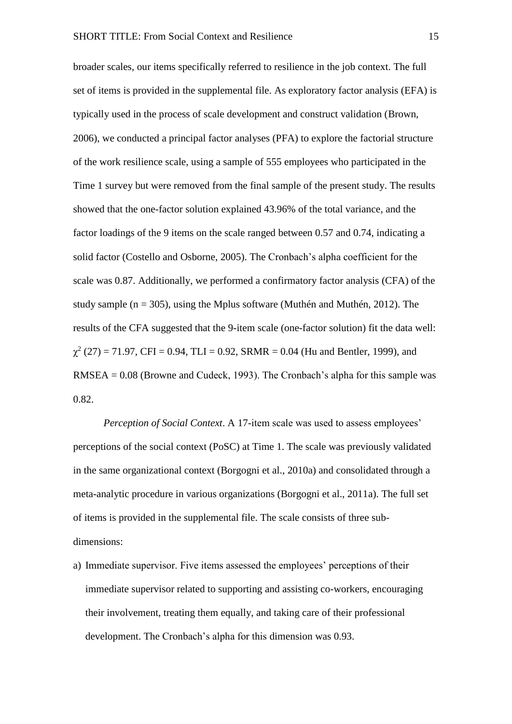broader scales, our items specifically referred to resilience in the job context. The full set of items is provided in the supplemental file. As exploratory factor analysis (EFA) is typically used in the process of scale development and construct validation (Brown, 2006), we conducted a principal factor analyses (PFA) to explore the factorial structure of the work resilience scale, using a sample of 555 employees who participated in the Time 1 survey but were removed from the final sample of the present study. The results showed that the one-factor solution explained 43.96% of the total variance, and the factor loadings of the 9 items on the scale ranged between 0.57 and 0.74, indicating a solid factor (Costello and Osborne, 2005). The Cronbach's alpha coefficient for the scale was 0.87. Additionally, we performed a confirmatory factor analysis (CFA) of the study sample ( $n = 305$ ), using the Mplus software (Muthén and Muthén, 2012). The results of the CFA suggested that the 9-item scale (one-factor solution) fit the data well:  $\chi^2$  (27) = 71.97, CFI = 0.94, TLI = 0.92, SRMR = 0.04 (Hu and Bentler, 1999), and RMSEA = 0.08 (Browne and Cudeck, 1993). The Cronbach's alpha for this sample was 0.82.

*Perception of Social Context*. A 17-item scale was used to assess employees' perceptions of the social context (PoSC) at Time 1. The scale was previously validated in the same organizational context (Borgogni et al., 2010a) and consolidated through a meta-analytic procedure in various organizations (Borgogni et al., 2011a). The full set of items is provided in the supplemental file. The scale consists of three subdimensions:

a) Immediate supervisor. Five items assessed the employees' perceptions of their immediate supervisor related to supporting and assisting co-workers, encouraging their involvement, treating them equally, and taking care of their professional development. The Cronbach's alpha for this dimension was 0.93.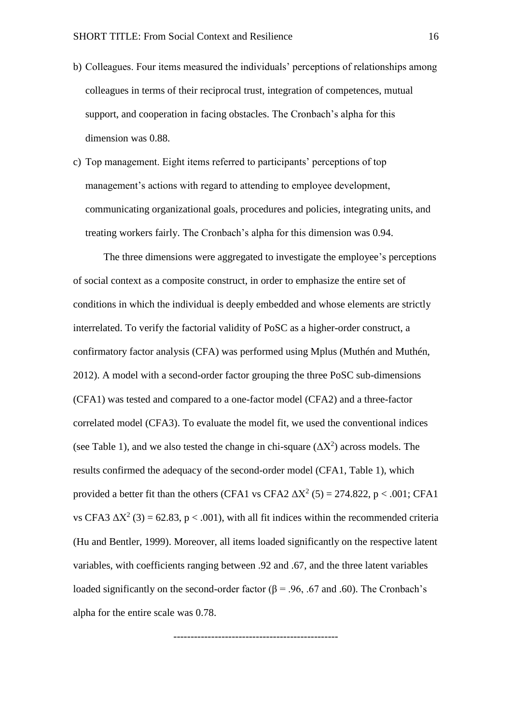- b) Colleagues. Four items measured the individuals' perceptions of relationships among colleagues in terms of their reciprocal trust, integration of competences, mutual support, and cooperation in facing obstacles. The Cronbach's alpha for this dimension was 0.88.
- c) Top management. Eight items referred to participants' perceptions of top management's actions with regard to attending to employee development, communicating organizational goals, procedures and policies, integrating units, and treating workers fairly. The Cronbach's alpha for this dimension was 0.94.

The three dimensions were aggregated to investigate the employee's perceptions of social context as a composite construct, in order to emphasize the entire set of conditions in which the individual is deeply embedded and whose elements are strictly interrelated. To verify the factorial validity of PoSC as a higher-order construct, a confirmatory factor analysis (CFA) was performed using Mplus (Muthén and Muthén, 2012). A model with a second-order factor grouping the three PoSC sub-dimensions (CFA1) was tested and compared to a one-factor model (CFA2) and a three-factor correlated model (CFA3). To evaluate the model fit, we used the conventional indices (see Table 1), and we also tested the change in chi-square  $(\Delta X^2)$  across models. The results confirmed the adequacy of the second-order model (CFA1, Table 1), which provided a better fit than the others (CFA1 vs CFA2  $\Delta X^2$  (5) = 274.822, p < .001; CFA1 vs CFA3  $\Delta X^2$  (3) = 62.83, p < .001), with all fit indices within the recommended criteria (Hu and Bentler, 1999). Moreover, all items loaded significantly on the respective latent variables, with coefficients ranging between .92 and .67, and the three latent variables loaded significantly on the second-order factor ( $\beta$  = .96, .67 and .60). The Cronbach's alpha for the entire scale was 0.78.

------------------------------------------------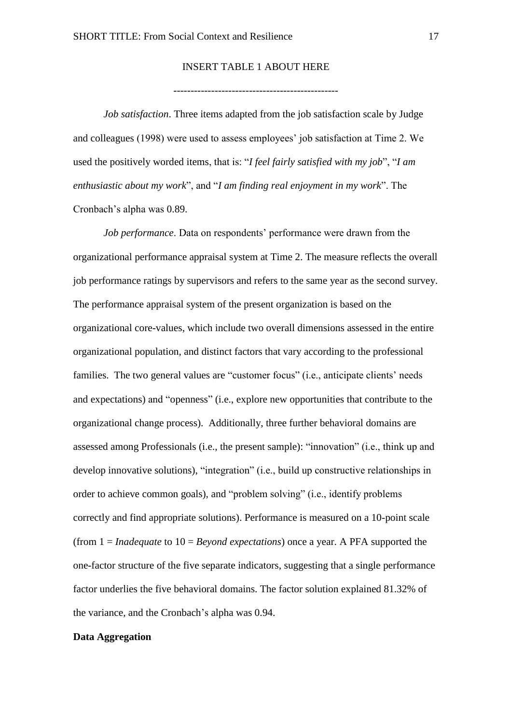# INSERT TABLE 1 ABOUT HERE

*Job satisfaction*. Three items adapted from the job satisfaction scale by Judge and colleagues (1998) were used to assess employees' job satisfaction at Time 2. We used the positively worded items, that is: "*I feel fairly satisfied with my job*", "*I am enthusiastic about my work*", and "*I am finding real enjoyment in my work*". The Cronbach's alpha was 0.89.

*Job performance*. Data on respondents' performance were drawn from the organizational performance appraisal system at Time 2. The measure reflects the overall job performance ratings by supervisors and refers to the same year as the second survey. The performance appraisal system of the present organization is based on the organizational core-values, which include two overall dimensions assessed in the entire organizational population, and distinct factors that vary according to the professional families. The two general values are "customer focus" (i.e., anticipate clients' needs and expectations) and "openness" (i.e., explore new opportunities that contribute to the organizational change process). Additionally, three further behavioral domains are assessed among Professionals (i.e., the present sample): "innovation" (i.e., think up and develop innovative solutions), "integration" (i.e., build up constructive relationships in order to achieve common goals), and "problem solving" (i.e., identify problems correctly and find appropriate solutions). Performance is measured on a 10-point scale (from 1 = *Inadequate* to 10 = *Beyond expectations*) once a year. A PFA supported the one-factor structure of the five separate indicators, suggesting that a single performance factor underlies the five behavioral domains. The factor solution explained 81.32% of the variance, and the Cronbach's alpha was 0.94.

# **Data Aggregation**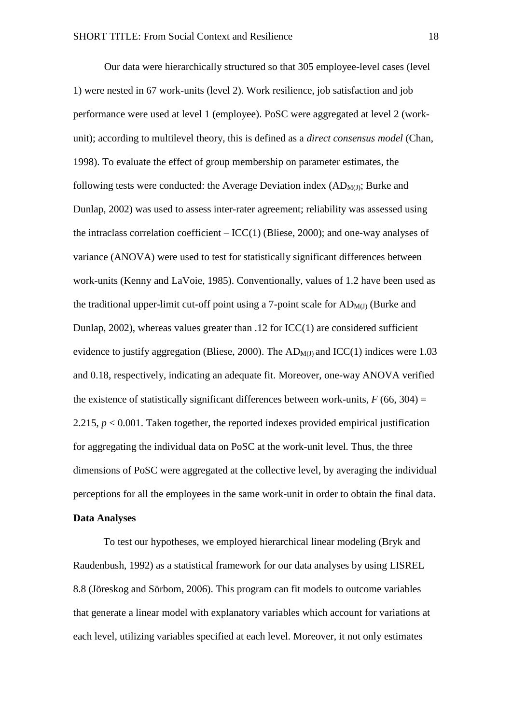Our data were hierarchically structured so that 305 employee-level cases (level 1) were nested in 67 work-units (level 2). Work resilience, job satisfaction and job performance were used at level 1 (employee). PoSC were aggregated at level 2 (workunit); according to multilevel theory, this is defined as a *direct consensus model* (Chan, 1998). To evaluate the effect of group membership on parameter estimates, the following tests were conducted: the Average Deviation index  $(AD_{M(I)})$ ; Burke and Dunlap, 2002) was used to assess inter-rater agreement; reliability was assessed using the intraclass correlation coefficient  $-$  ICC(1) (Bliese, 2000); and one-way analyses of variance (ANOVA) were used to test for statistically significant differences between work-units (Kenny and LaVoie, 1985). Conventionally, values of 1.2 have been used as the traditional upper-limit cut-off point using a 7-point scale for  $AD_{M(J)}$  (Burke and Dunlap, 2002), whereas values greater than .12 for ICC(1) are considered sufficient evidence to justify aggregation (Bliese, 2000). The  $AD_{M(I)}$  and  $ICC(1)$  indices were 1.03 and 0.18, respectively, indicating an adequate fit. Moreover, one-way ANOVA verified the existence of statistically significant differences between work-units,  $F(66, 304) =$ 2.215,  $p < 0.001$ . Taken together, the reported indexes provided empirical justification for aggregating the individual data on PoSC at the work-unit level. Thus, the three dimensions of PoSC were aggregated at the collective level, by averaging the individual perceptions for all the employees in the same work-unit in order to obtain the final data. **Data Analyses**

To test our hypotheses, we employed hierarchical linear modeling (Bryk and Raudenbush, 1992) as a statistical framework for our data analyses by using LISREL 8.8 (Jöreskog and Sörbom, 2006). This program can fit models to outcome variables that generate a linear model with explanatory variables which account for variations at each level, utilizing variables specified at each level. Moreover, it not only estimates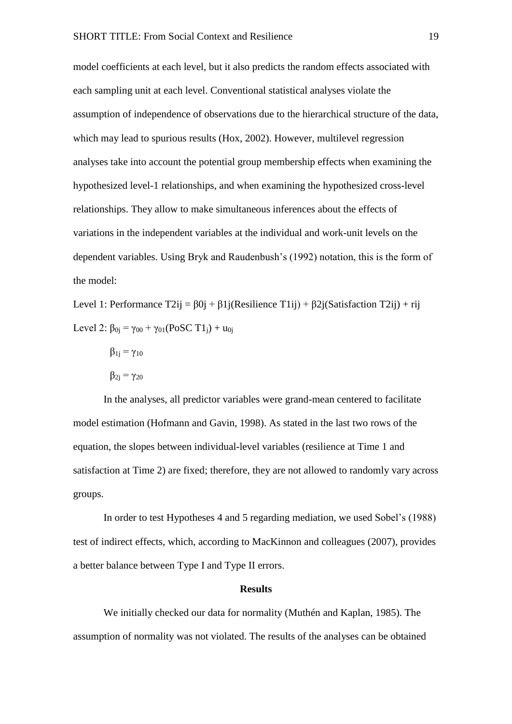model coefficients at each level, but it also predicts the random effects associated with each sampling unit at each level. Conventional statistical analyses violate the assumption of independence of observations due to the hierarchical structure of the data, which may lead to spurious results (Hox, 2002). However, multilevel regression analyses take into account the potential group membership effects when examining the hypothesized level-1 relationships, and when examining the hypothesized cross-level relationships. They allow to make simultaneous inferences about the effects of variations in the independent variables at the individual and work-unit levels on the dependent variables. Using Bryk and Raudenbush's (1992) notation, this is the form of the model:

Level 1: Performance  $T2ij = \beta 0j + \beta 1j(Resilience T1ij) + \beta 2j(Satisfactor T2ij) + rij$ Level 2:  $\beta_{0i} = \gamma_{00} + \gamma_{01}(\text{PoSC T1}_i) + u_{0i}$ 

- $\beta_{1j} = \gamma_{10}$
- $β_{2i} = γ_{20}$

In the analyses, all predictor variables were grand-mean centered to facilitate model estimation (Hofmann and Gavin, 1998). As stated in the last two rows of the equation, the slopes between individual-level variables (resilience at Time 1 and satisfaction at Time 2) are fixed; therefore, they are not allowed to randomly vary across groups.

In order to test Hypotheses 4 and 5 regarding mediation, we used Sobel's (1988) test of indirect effects, which, according to MacKinnon and colleagues (2007), provides a better balance between Type I and Type II errors.

### **Results**

We initially checked our data for normality (Muthén and Kaplan, 1985). The assumption of normality was not violated. The results of the analyses can be obtained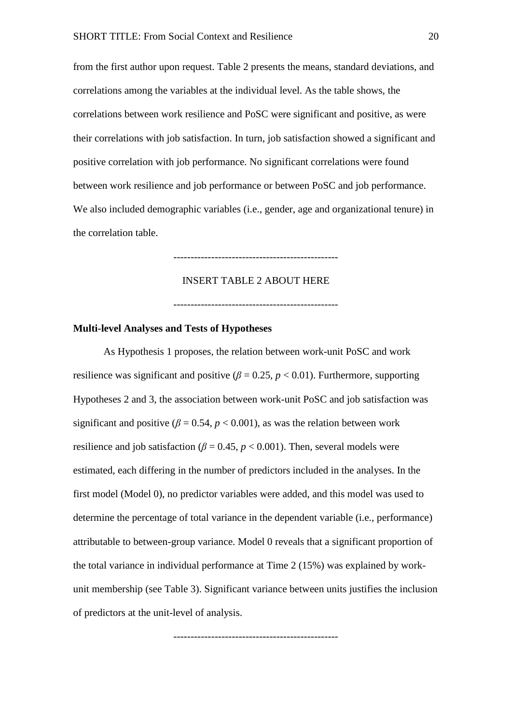from the first author upon request. Table 2 presents the means, standard deviations, and correlations among the variables at the individual level. As the table shows, the correlations between work resilience and PoSC were significant and positive, as were their correlations with job satisfaction. In turn, job satisfaction showed a significant and positive correlation with job performance. No significant correlations were found between work resilience and job performance or between PoSC and job performance. We also included demographic variables (i.e., gender, age and organizational tenure) in the correlation table.

#### INSERT TABLE 2 ABOUT HERE

------------------------------------------------

------------------------------------------------

# **Multi-level Analyses and Tests of Hypotheses**

As Hypothesis 1 proposes, the relation between work-unit PoSC and work resilience was significant and positive  $(\beta = 0.25, p < 0.01)$ . Furthermore, supporting Hypotheses 2 and 3, the association between work-unit PoSC and job satisfaction was significant and positive ( $\beta = 0.54$ ,  $p < 0.001$ ), as was the relation between work resilience and job satisfaction ( $\beta$  = 0.45,  $p$  < 0.001). Then, several models were estimated, each differing in the number of predictors included in the analyses. In the first model (Model 0), no predictor variables were added, and this model was used to determine the percentage of total variance in the dependent variable (i.e., performance) attributable to between-group variance. Model 0 reveals that a significant proportion of the total variance in individual performance at Time 2 (15%) was explained by workunit membership (see Table 3). Significant variance between units justifies the inclusion of predictors at the unit-level of analysis.

------------------------------------------------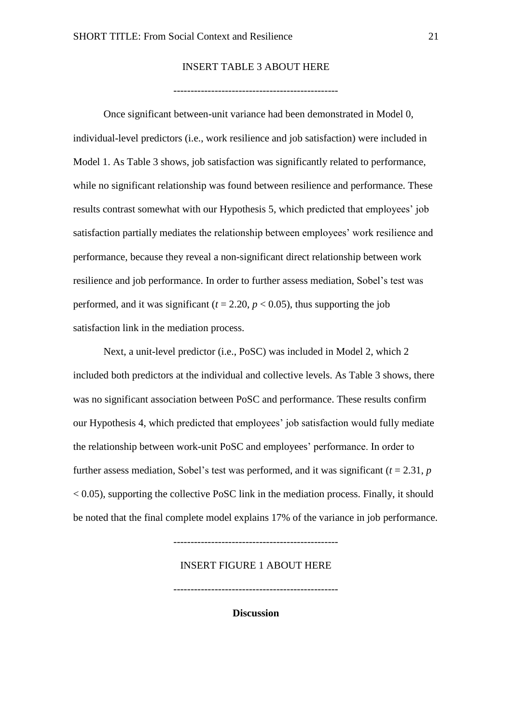# INSERT TABLE 3 ABOUT HERE

------------------------------------------------

Once significant between-unit variance had been demonstrated in Model 0, individual-level predictors (i.e., work resilience and job satisfaction) were included in Model 1. As Table 3 shows, job satisfaction was significantly related to performance, while no significant relationship was found between resilience and performance. These results contrast somewhat with our Hypothesis 5, which predicted that employees' job satisfaction partially mediates the relationship between employees' work resilience and performance, because they reveal a non-significant direct relationship between work resilience and job performance. In order to further assess mediation, Sobel's test was performed, and it was significant  $(t = 2.20, p < 0.05)$ , thus supporting the job satisfaction link in the mediation process.

Next, a unit-level predictor (i.e., PoSC) was included in Model 2, which 2 included both predictors at the individual and collective levels. As Table 3 shows, there was no significant association between PoSC and performance. These results confirm our Hypothesis 4, which predicted that employees' job satisfaction would fully mediate the relationship between work-unit PoSC and employees' performance. In order to further assess mediation, Sobel's test was performed, and it was significant  $(t = 2.31, p)$  $< 0.05$ ), supporting the collective PoSC link in the mediation process. Finally, it should be noted that the final complete model explains 17% of the variance in job performance.

------------------------------------------------

### INSERT FIGURE 1 ABOUT HERE

------------------------------------------------

**Discussion**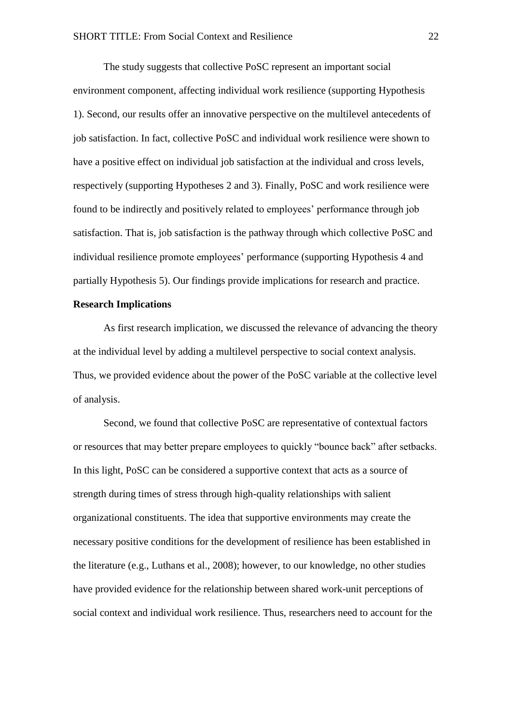The study suggests that collective PoSC represent an important social environment component, affecting individual work resilience (supporting Hypothesis 1). Second, our results offer an innovative perspective on the multilevel antecedents of job satisfaction. In fact, collective PoSC and individual work resilience were shown to have a positive effect on individual job satisfaction at the individual and cross levels, respectively (supporting Hypotheses 2 and 3). Finally, PoSC and work resilience were found to be indirectly and positively related to employees' performance through job satisfaction. That is, job satisfaction is the pathway through which collective PoSC and individual resilience promote employees' performance (supporting Hypothesis 4 and partially Hypothesis 5). Our findings provide implications for research and practice.

#### **Research Implications**

As first research implication, we discussed the relevance of advancing the theory at the individual level by adding a multilevel perspective to social context analysis. Thus, we provided evidence about the power of the PoSC variable at the collective level of analysis.

Second, we found that collective PoSC are representative of contextual factors or resources that may better prepare employees to quickly "bounce back" after setbacks. In this light, PoSC can be considered a supportive context that acts as a source of strength during times of stress through high-quality relationships with salient organizational constituents. The idea that supportive environments may create the necessary positive conditions for the development of resilience has been established in the literature (e.g., Luthans et al., 2008); however, to our knowledge, no other studies have provided evidence for the relationship between shared work-unit perceptions of social context and individual work resilience. Thus, researchers need to account for the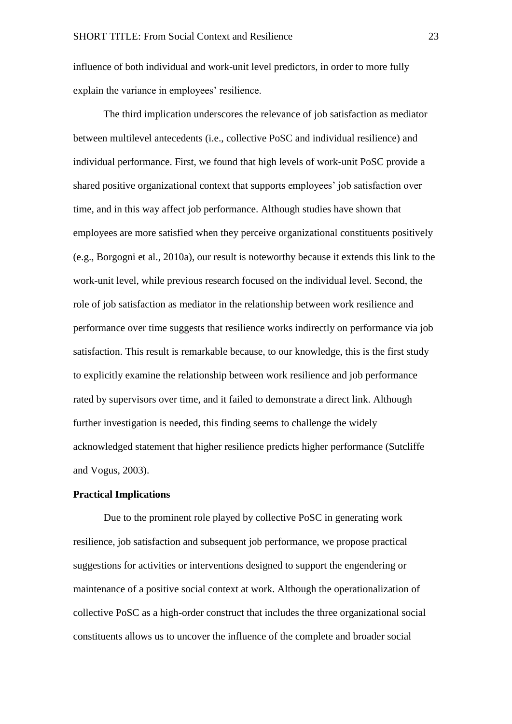influence of both individual and work-unit level predictors, in order to more fully explain the variance in employees' resilience.

The third implication underscores the relevance of job satisfaction as mediator between multilevel antecedents (i.e., collective PoSC and individual resilience) and individual performance. First, we found that high levels of work-unit PoSC provide a shared positive organizational context that supports employees' job satisfaction over time, and in this way affect job performance. Although studies have shown that employees are more satisfied when they perceive organizational constituents positively (e.g., Borgogni et al., 2010a), our result is noteworthy because it extends this link to the work-unit level, while previous research focused on the individual level. Second, the role of job satisfaction as mediator in the relationship between work resilience and performance over time suggests that resilience works indirectly on performance via job satisfaction. This result is remarkable because, to our knowledge, this is the first study to explicitly examine the relationship between work resilience and job performance rated by supervisors over time, and it failed to demonstrate a direct link. Although further investigation is needed, this finding seems to challenge the widely acknowledged statement that higher resilience predicts higher performance (Sutcliffe and Vogus, 2003).

### **Practical Implications**

Due to the prominent role played by collective PoSC in generating work resilience, job satisfaction and subsequent job performance, we propose practical suggestions for activities or interventions designed to support the engendering or maintenance of a positive social context at work. Although the operationalization of collective PoSC as a high-order construct that includes the three organizational social constituents allows us to uncover the influence of the complete and broader social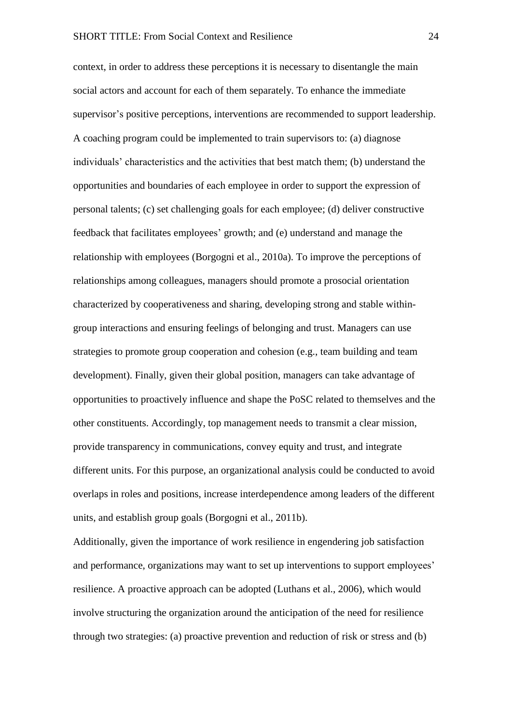context, in order to address these perceptions it is necessary to disentangle the main social actors and account for each of them separately. To enhance the immediate supervisor's positive perceptions, interventions are recommended to support leadership. A coaching program could be implemented to train supervisors to: (a) diagnose individuals' characteristics and the activities that best match them; (b) understand the opportunities and boundaries of each employee in order to support the expression of personal talents; (c) set challenging goals for each employee; (d) deliver constructive feedback that facilitates employees' growth; and (e) understand and manage the relationship with employees (Borgogni et al., 2010a). To improve the perceptions of relationships among colleagues, managers should promote a prosocial orientation characterized by cooperativeness and sharing, developing strong and stable withingroup interactions and ensuring feelings of belonging and trust. Managers can use strategies to promote group cooperation and cohesion (e.g., team building and team development). Finally, given their global position, managers can take advantage of opportunities to proactively influence and shape the PoSC related to themselves and the other constituents. Accordingly, top management needs to transmit a clear mission, provide transparency in communications, convey equity and trust, and integrate different units. For this purpose, an organizational analysis could be conducted to avoid overlaps in roles and positions, increase interdependence among leaders of the different units, and establish group goals (Borgogni et al., 2011b).

Additionally, given the importance of work resilience in engendering job satisfaction and performance, organizations may want to set up interventions to support employees' resilience. A proactive approach can be adopted (Luthans et al., 2006), which would involve structuring the organization around the anticipation of the need for resilience through two strategies: (a) proactive prevention and reduction of risk or stress and (b)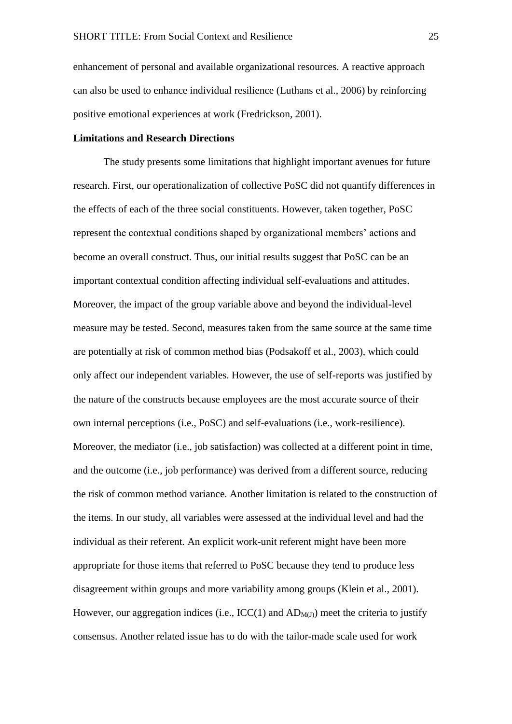enhancement of personal and available organizational resources. A reactive approach can also be used to enhance individual resilience (Luthans et al., 2006) by reinforcing positive emotional experiences at work (Fredrickson, 2001).

### **Limitations and Research Directions**

The study presents some limitations that highlight important avenues for future research. First, our operationalization of collective PoSC did not quantify differences in the effects of each of the three social constituents. However, taken together, PoSC represent the contextual conditions shaped by organizational members' actions and become an overall construct. Thus, our initial results suggest that PoSC can be an important contextual condition affecting individual self-evaluations and attitudes. Moreover, the impact of the group variable above and beyond the individual-level measure may be tested. Second, measures taken from the same source at the same time are potentially at risk of common method bias (Podsakoff et al., 2003), which could only affect our independent variables. However, the use of self-reports was justified by the nature of the constructs because employees are the most accurate source of their own internal perceptions (i.e., PoSC) and self-evaluations (i.e., work-resilience). Moreover, the mediator (i.e., job satisfaction) was collected at a different point in time, and the outcome (i.e., job performance) was derived from a different source, reducing the risk of common method variance. Another limitation is related to the construction of the items. In our study, all variables were assessed at the individual level and had the individual as their referent. An explicit work-unit referent might have been more appropriate for those items that referred to PoSC because they tend to produce less disagreement within groups and more variability among groups (Klein et al., 2001). However, our aggregation indices (i.e.,  $ICC(1)$  and  $AD_{M(J)}$ ) meet the criteria to justify consensus. Another related issue has to do with the tailor-made scale used for work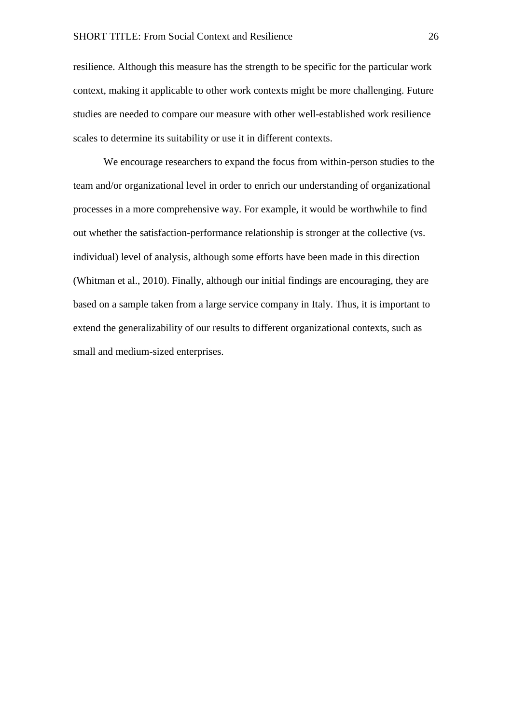resilience. Although this measure has the strength to be specific for the particular work context, making it applicable to other work contexts might be more challenging. Future studies are needed to compare our measure with other well-established work resilience scales to determine its suitability or use it in different contexts.

We encourage researchers to expand the focus from within-person studies to the team and/or organizational level in order to enrich our understanding of organizational processes in a more comprehensive way. For example, it would be worthwhile to find out whether the satisfaction-performance relationship is stronger at the collective (vs. individual) level of analysis, although some efforts have been made in this direction (Whitman et al., 2010). Finally, although our initial findings are encouraging, they are based on a sample taken from a large service company in Italy. Thus, it is important to extend the generalizability of our results to different organizational contexts, such as small and medium-sized enterprises.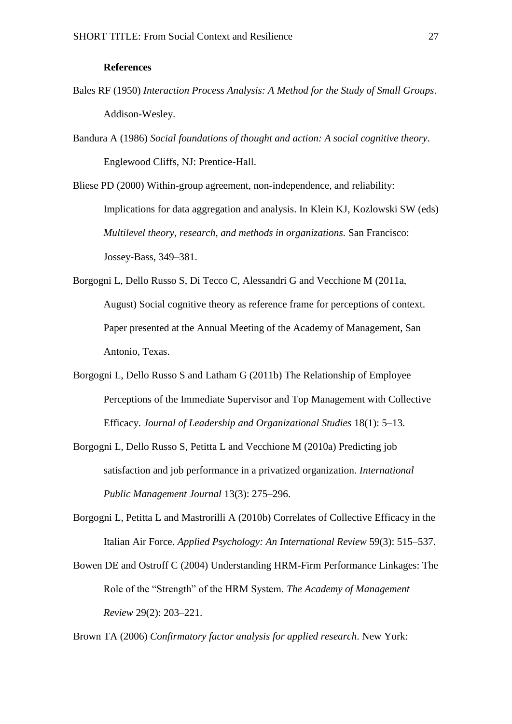### **References**

- Bales RF (1950) *Interaction Process Analysis: A Method for the Study of Small Groups*. Addison-Wesley.
- Bandura A (1986) *Social foundations of thought and action: A social cognitive theory*. Englewood Cliffs, NJ: Prentice-Hall.

Bliese PD (2000) Within-group agreement, non-independence, and reliability: Implications for data aggregation and analysis. In Klein KJ, Kozlowski SW (eds) *Multilevel theory, research, and methods in organizations.* San Francisco: Jossey-Bass, 349–381.

Borgogni L, Dello Russo S, Di Tecco C, Alessandri G and Vecchione M (2011a, August) Social cognitive theory as reference frame for perceptions of context. Paper presented at the Annual Meeting of the Academy of Management, San Antonio, Texas.

- Borgogni L, Dello Russo S and Latham G (2011b) The Relationship of Employee Perceptions of the Immediate Supervisor and Top Management with Collective Efficacy. *Journal of Leadership and Organizational Studies* 18(1): 5–13.
- Borgogni L, Dello Russo S, Petitta L and Vecchione M (2010a) Predicting job satisfaction and job performance in a privatized organization. *International Public Management Journal* 13(3): 275–296.
- Borgogni L, Petitta L and Mastrorilli A (2010b) Correlates of Collective Efficacy in the Italian Air Force. *Applied Psychology: An International Review* 59(3): 515–537.
- Bowen DE and Ostroff C (2004) Understanding HRM-Firm Performance Linkages: The Role of the "Strength" of the HRM System. *The Academy of Management Review* 29(2): 203–221.

Brown TA (2006) *Confirmatory factor analysis for applied research*. New York: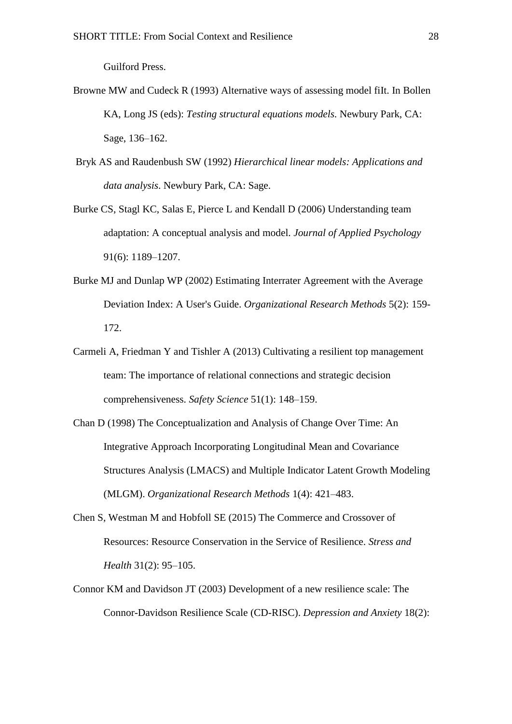Guilford Press.

- Browne MW and Cudeck R (1993) Alternative ways of assessing model filt. In Bollen KA, Long JS (eds): *Testing structural equations models.* Newbury Park, CA: Sage, 136–162.
- Bryk AS and Raudenbush SW (1992) *Hierarchical linear models: Applications and data analysis*. Newbury Park, CA: Sage.
- Burke CS, Stagl KC, Salas E, Pierce L and Kendall D (2006) Understanding team adaptation: A conceptual analysis and model. *Journal of Applied Psychology* 91(6): 1189–1207.
- Burke MJ and Dunlap WP (2002) Estimating Interrater Agreement with the Average Deviation Index: A User's Guide. *Organizational Research Methods* 5(2): 159- 172.
- Carmeli A, Friedman Y and Tishler A (2013) Cultivating a resilient top management team: The importance of relational connections and strategic decision comprehensiveness. *Safety Science* 51(1): 148–159.
- Chan D (1998) The Conceptualization and Analysis of Change Over Time: An Integrative Approach Incorporating Longitudinal Mean and Covariance Structures Analysis (LMACS) and Multiple Indicator Latent Growth Modeling (MLGM). *Organizational Research Methods* 1(4): 421–483.
- Chen S, Westman M and Hobfoll SE (2015) The Commerce and Crossover of Resources: Resource Conservation in the Service of Resilience. *Stress and Health* 31(2): 95–105.
- Connor KM and Davidson JT (2003) Development of a new resilience scale: The Connor-Davidson Resilience Scale (CD-RISC). *Depression and Anxiety* 18(2):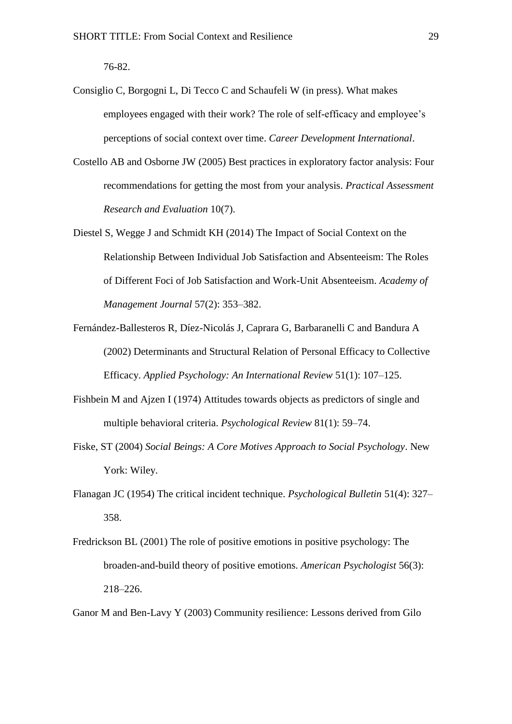76-82.

- Consiglio C, Borgogni L, Di Tecco C and Schaufeli W (in press). What makes employees engaged with their work? The role of self-efficacy and employee's perceptions of social context over time. *Career Development International*.
- Costello AB and Osborne JW (2005) Best practices in exploratory factor analysis: Four recommendations for getting the most from your analysis. *Practical Assessment Research and Evaluation* 10(7).
- Diestel S, Wegge J and Schmidt KH (2014) The Impact of Social Context on the Relationship Between Individual Job Satisfaction and Absenteeism: The Roles of Different Foci of Job Satisfaction and Work-Unit Absenteeism. *Academy of Management Journal* 57(2): 353–382.
- Fernández-Ballesteros R, Díez-Nicolás J, Caprara G, Barbaranelli C and Bandura A (2002) Determinants and Structural Relation of Personal Efficacy to Collective Efficacy. *Applied Psychology: An International Review* 51(1): 107–125.
- Fishbein M and Ajzen I (1974) Attitudes towards objects as predictors of single and multiple behavioral criteria. *Psychological Review* 81(1): 59–74.
- Fiske, ST (2004) *Social Beings: A Core Motives Approach to Social Psychology*. New York: Wiley.
- Flanagan JC (1954) The critical incident technique. *Psychological Bulletin* 51(4): 327– 358.
- Fredrickson BL (2001) The role of positive emotions in positive psychology: The broaden-and-build theory of positive emotions. *American Psychologist* 56(3): 218–226.

Ganor M and Ben-Lavy Y (2003) Community resilience: Lessons derived from Gilo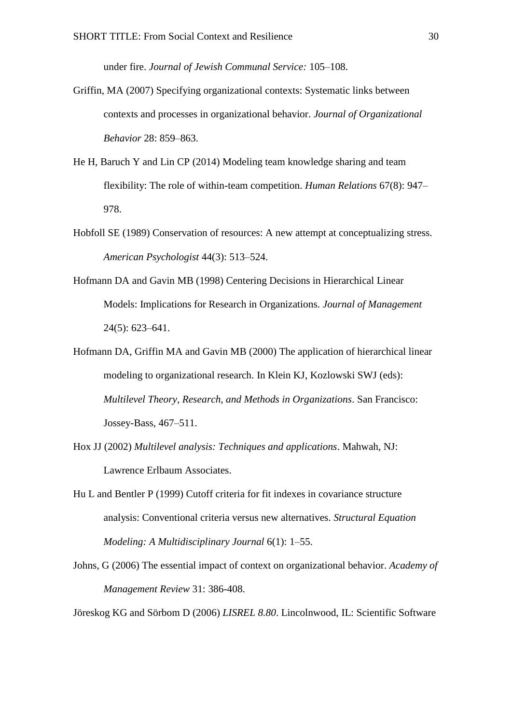under fire. *Journal of Jewish Communal Service:* 105–108.

- Griffin, MA (2007) Specifying organizational contexts: Systematic links between contexts and processes in organizational behavior. *Journal of Organizational Behavior* 28: 859–863.
- He H, Baruch Y and Lin CP (2014) Modeling team knowledge sharing and team flexibility: The role of within-team competition. *Human Relations* 67(8): 947– 978.
- Hobfoll SE (1989) Conservation of resources: A new attempt at conceptualizing stress. *American Psychologist* 44(3): 513–524.
- Hofmann DA and Gavin MB (1998) Centering Decisions in Hierarchical Linear Models: Implications for Research in Organizations. *Journal of Management* 24(5): 623–641.
- Hofmann DA, Griffin MA and Gavin MB (2000) The application of hierarchical linear modeling to organizational research. In Klein KJ, Kozlowski SWJ (eds): *Multilevel Theory, Research, and Methods in Organizations*. San Francisco: Jossey-Bass, 467–511.
- Hox JJ (2002) *Multilevel analysis: Techniques and applications*. Mahwah, NJ: Lawrence Erlbaum Associates.
- Hu L and Bentler P (1999) Cutoff criteria for fit indexes in covariance structure analysis: Conventional criteria versus new alternatives. *Structural Equation Modeling: A Multidisciplinary Journal* 6(1): 1–55.
- Johns, G (2006) The essential impact of context on organizational behavior. *Academy of Management Review* 31: 386-408.

Jöreskog KG and Sörbom D (2006) *LISREL 8.80*. Lincolnwood, IL: Scientific Software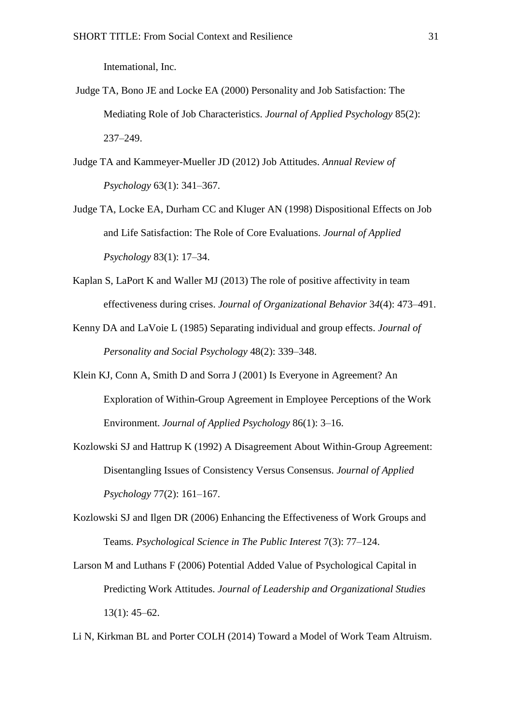Intemational, Inc.

- Judge TA, Bono JE and Locke EA (2000) Personality and Job Satisfaction: The Mediating Role of Job Characteristics. *Journal of Applied Psychology* 85(2): 237–249.
- Judge TA and Kammeyer-Mueller JD (2012) Job Attitudes. *Annual Review of Psychology* 63(1): 341–367.
- Judge TA, Locke EA, Durham CC and Kluger AN (1998) Dispositional Effects on Job and Life Satisfaction: The Role of Core Evaluations. *Journal of Applied Psychology* 83(1): 17–34.
- Kaplan S, LaPort K and Waller MJ (2013) The role of positive affectivity in team effectiveness during crises. *Journal of Organizational Behavior* 3*4*(4): 473–491.
- Kenny DA and LaVoie L (1985) Separating individual and group effects. *Journal of Personality and Social Psychology* 48(2): 339–348.
- Klein KJ, Conn A, Smith D and Sorra J (2001) Is Everyone in Agreement? An Exploration of Within-Group Agreement in Employee Perceptions of the Work Environment. *Journal of Applied Psychology* 86(1): 3–16.
- Kozlowski SJ and Hattrup K (1992) A Disagreement About Within-Group Agreement: Disentangling Issues of Consistency Versus Consensus. *Journal of Applied Psychology* 77(2): 161–167.
- Kozlowski SJ and Ilgen DR (2006) Enhancing the Effectiveness of Work Groups and Teams. *Psychological Science in The Public Interest* 7(3): 77–124.
- Larson M and Luthans F (2006) Potential Added Value of Psychological Capital in Predicting Work Attitudes. *Journal of Leadership and Organizational Studies* 13(1): 45–62.
- Li N, Kirkman BL and Porter COLH (2014) Toward a Model of Work Team Altruism.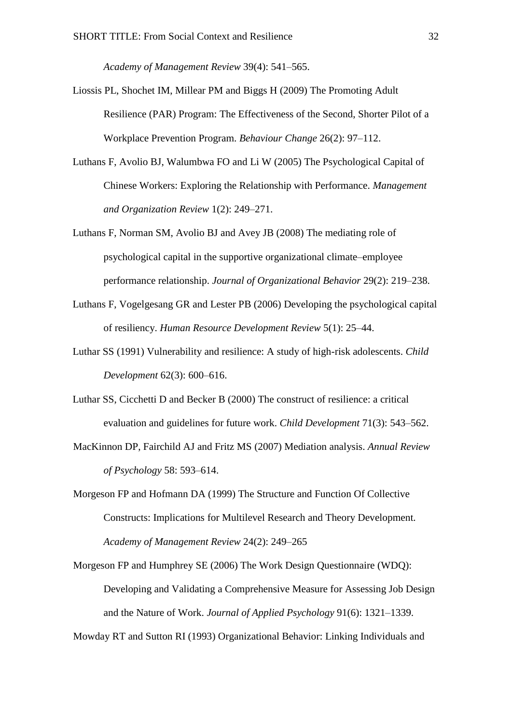*Academy of Management Review* 39(4): 541–565.

- Liossis PL, Shochet IM, Millear PM and Biggs H (2009) The Promoting Adult Resilience (PAR) Program: The Effectiveness of the Second, Shorter Pilot of a Workplace Prevention Program. *Behaviour Change* 26(2): 97–112.
- Luthans F, Avolio BJ, Walumbwa FO and Li W (2005) The Psychological Capital of Chinese Workers: Exploring the Relationship with Performance. *Management and Organization Review* 1(2): 249–271.
- Luthans F, Norman SM, Avolio BJ and Avey JB (2008) The mediating role of psychological capital in the supportive organizational climate–employee performance relationship. *Journal of Organizational Behavior* 29(2): 219–238.
- Luthans F, Vogelgesang GR and Lester PB (2006) Developing the psychological capital of resiliency. *Human Resource Development Review* 5(1): 25–44.
- Luthar SS (1991) Vulnerability and resilience: A study of high-risk adolescents. *Child Development* 62(3): 600–616.
- Luthar SS, Cicchetti D and Becker B (2000) The construct of resilience: a critical evaluation and guidelines for future work. *Child Development* 71(3): 543–562.
- MacKinnon DP, Fairchild AJ and Fritz MS (2007) Mediation analysis. *Annual Review of Psychology* 58: 593–614.
- Morgeson FP and Hofmann DA (1999) The Structure and Function Of Collective Constructs: Implications for Multilevel Research and Theory Development. *Academy of Management Review* 24(2): 249–265
- Morgeson FP and Humphrey SE (2006) The Work Design Questionnaire (WDQ): Developing and Validating a Comprehensive Measure for Assessing Job Design and the Nature of Work. *Journal of Applied Psychology* 91(6): 1321–1339.

Mowday RT and Sutton RI (1993) Organizational Behavior: Linking Individuals and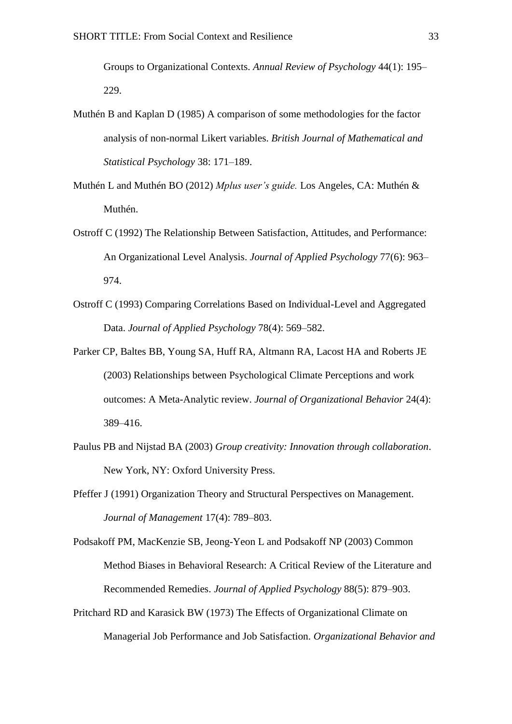Groups to Organizational Contexts. *Annual Review of Psychology* 44(1): 195– 229.

- Muthén B and Kaplan D (1985) A comparison of some methodologies for the factor analysis of non-normal Likert variables. *British Journal of Mathematical and Statistical Psychology* 38: 171–189.
- Muthén L and Muthén BO (2012) *Mplus user's guide.* Los Angeles, CA: Muthén & Muthén.
- Ostroff C (1992) The Relationship Between Satisfaction, Attitudes, and Performance: An Organizational Level Analysis. *Journal of Applied Psychology* 77(6): 963– 974.
- Ostroff C (1993) Comparing Correlations Based on Individual-Level and Aggregated Data. *Journal of Applied Psychology* 78(4): 569–582.
- Parker CP, Baltes BB, Young SA, Huff RA, Altmann RA, Lacost HA and Roberts JE (2003) Relationships between Psychological Climate Perceptions and work outcomes: A Meta-Analytic review. *Journal of Organizational Behavior* 24(4): 389–416.
- Paulus PB and Nijstad BA (2003) *Group creativity: Innovation through collaboration*. New York, NY: Oxford University Press.
- Pfeffer J (1991) Organization Theory and Structural Perspectives on Management. *Journal of Management* 17(4): 789–803.
- Podsakoff PM, MacKenzie SB, Jeong-Yeon L and Podsakoff NP (2003) Common Method Biases in Behavioral Research: A Critical Review of the Literature and Recommended Remedies. *Journal of Applied Psychology* 88(5): 879–903.
- Pritchard RD and Karasick BW (1973) The Effects of Organizational Climate on Managerial Job Performance and Job Satisfaction. *Organizational Behavior and*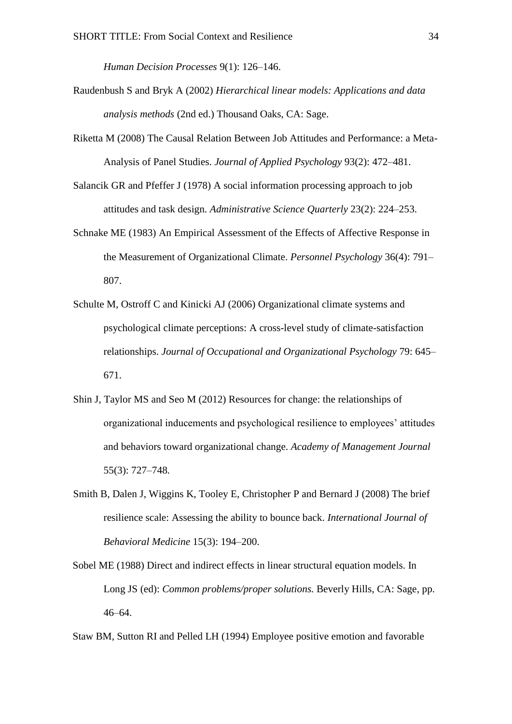*Human Decision Processes* 9(1): 126–146.

- Raudenbush S and Bryk A (2002) *Hierarchical linear models: Applications and data analysis methods* (2nd ed.) Thousand Oaks, CA: Sage.
- Riketta M (2008) The Causal Relation Between Job Attitudes and Performance: a Meta-Analysis of Panel Studies. *Journal of Applied Psychology* 93(2): 472–481.
- Salancik GR and Pfeffer J (1978) A social information processing approach to job attitudes and task design. *Administrative Science Quarterly* 23(2): 224–253.
- Schnake ME (1983) An Empirical Assessment of the Effects of Affective Response in the Measurement of Organizational Climate. *Personnel Psychology* 36(4): 791– 807.
- Schulte M, Ostroff C and Kinicki AJ (2006) Organizational climate systems and psychological climate perceptions: A cross-level study of climate-satisfaction relationships. *Journal of Occupational and Organizational Psychology* 79: 645– 671.
- Shin J, Taylor MS and Seo M (2012) Resources for change: the relationships of organizational inducements and psychological resilience to employees' attitudes and behaviors toward organizational change. *Academy of Management Journal* 55(3): 727–748*.*
- Smith B, Dalen J, Wiggins K, Tooley E, Christopher P and Bernard J (2008) The brief resilience scale: Assessing the ability to bounce back. *International Journal of Behavioral Medicine* 15(3): 194–200.
- Sobel ME (1988) Direct and indirect effects in linear structural equation models. In Long JS (ed): *Common problems/proper solutions.* Beverly Hills, CA: Sage, pp. 46–64.

Staw BM, Sutton RI and Pelled LH (1994) Employee positive emotion and favorable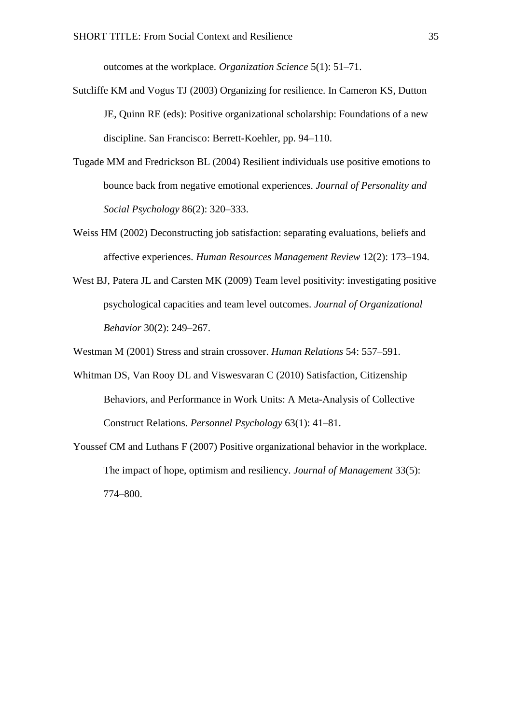outcomes at the workplace. *Organization Science* 5(1): 51–71.

- Sutcliffe KM and Vogus TJ (2003) Organizing for resilience. In Cameron KS, Dutton JE, Quinn RE (eds): Positive organizational scholarship: Foundations of a new discipline. San Francisco: Berrett-Koehler, pp. 94–110.
- Tugade MM and Fredrickson BL (2004) Resilient individuals use positive emotions to bounce back from negative emotional experiences. *Journal of Personality and Social Psychology* 86(2): 320–333.
- Weiss HM (2002) Deconstructing job satisfaction: separating evaluations, beliefs and affective experiences. *Human Resources Management Review* 12(2): 173–194.
- West BJ, Patera JL and Carsten MK (2009) Team level positivity: investigating positive psychological capacities and team level outcomes. *Journal of Organizational Behavior* 30(2): 249–267.

Westman M (2001) Stress and strain crossover. *Human Relations* 54: 557–591.

- Whitman DS, Van Rooy DL and Viswesvaran C (2010) Satisfaction, Citizenship Behaviors, and Performance in Work Units: A Meta-Analysis of Collective Construct Relations. *Personnel Psychology* 63(1): 41–81.
- Youssef CM and Luthans F (2007) Positive organizational behavior in the workplace. The impact of hope, optimism and resiliency. *Journal of Management* 33(5): 774–800.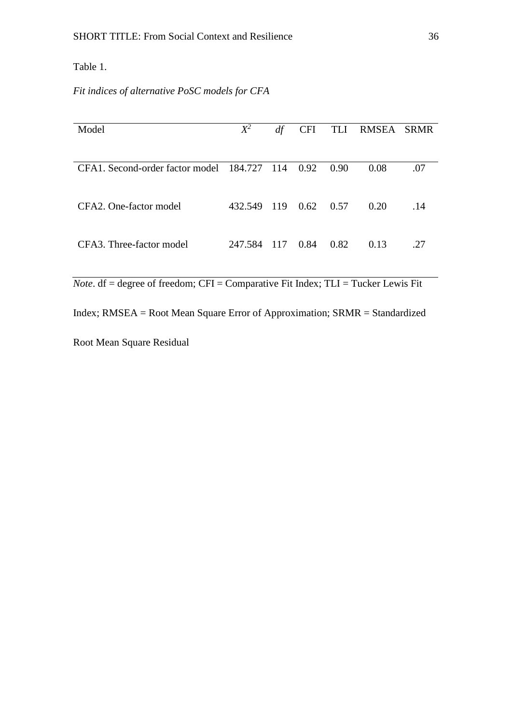Table 1.

*Fit indices of alternative PoSC models for CFA*

| Model                                            | $X^2$   | df    | <b>CFI</b> | TLI  | RMSEA | <b>SRMR</b> |
|--------------------------------------------------|---------|-------|------------|------|-------|-------------|
|                                                  |         |       |            |      |       |             |
| CFA1. Second-order factor model 184.727 114 0.92 |         |       |            | 0.90 | 0.08  | .07         |
|                                                  |         |       |            |      |       |             |
| CFA <sub>2</sub> . One-factor model              | 432.549 | -119  | 0.62       | 0.57 | 0.20  | .14         |
| CFA3. Three-factor model                         |         |       |            |      |       |             |
|                                                  | 247.584 | - 117 | 0.84       | 0.82 | 0.13  | .27         |

*Note*. df = degree of freedom; CFI = Comparative Fit Index; TLI = Tucker Lewis Fit

Index; RMSEA = Root Mean Square Error of Approximation; SRMR = Standardized

Root Mean Square Residual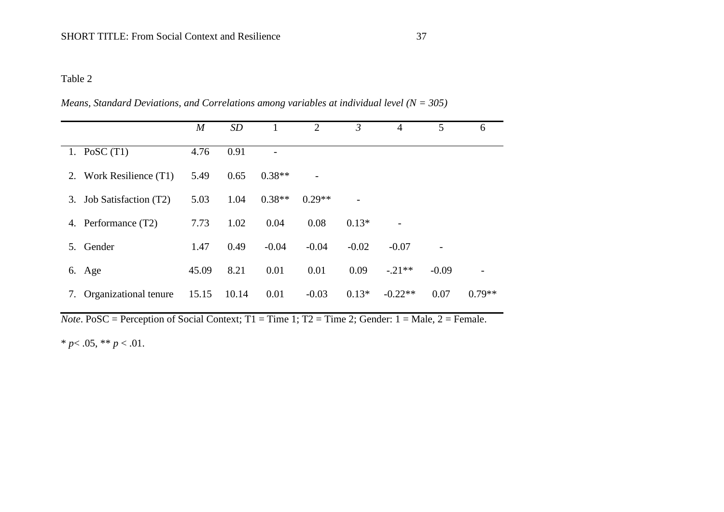# Table 2

|                             | $\boldsymbol{M}$ | SD    |          | 2        | $\mathfrak{Z}$ | 4         | 5       | 6        |
|-----------------------------|------------------|-------|----------|----------|----------------|-----------|---------|----------|
| 1. PoSC $(T1)$              | 4.76             | 0.91  |          |          |                |           |         |          |
| 2. Work Resilience (T1)     | 5.49             | 0.65  | $0.38**$ |          |                |           |         |          |
| Job Satisfaction (T2)<br>3. | 5.03             | 1.04  | $0.38**$ | $0.29**$ |                |           |         |          |
| 4. Performance (T2)         | 7.73             | 1.02  | 0.04     | 0.08     | $0.13*$        |           |         |          |
| Gender<br>5.                | 1.47             | 0.49  | $-0.04$  | $-0.04$  | $-0.02$        | $-0.07$   |         |          |
| 6. Age                      | 45.09            | 8.21  | 0.01     | 0.01     | 0.09           | $-.21**$  | $-0.09$ |          |
| Organizational tenure<br>7. | 15.15            | 10.14 | 0.01     | $-0.03$  | $0.13*$        | $-0.22**$ | 0.07    | $0.79**$ |

*Means, Standard Deviations, and Correlations among variables at individual level (N = 305)*

*Note*. PoSC = Perception of Social Context;  $T1 = Time 1$ ;  $T2 = Time 2$ ; Gender:  $1 = Male$ ,  $2 = Female$ .

\*  $p$  < .05, \*\*  $p$  < .01.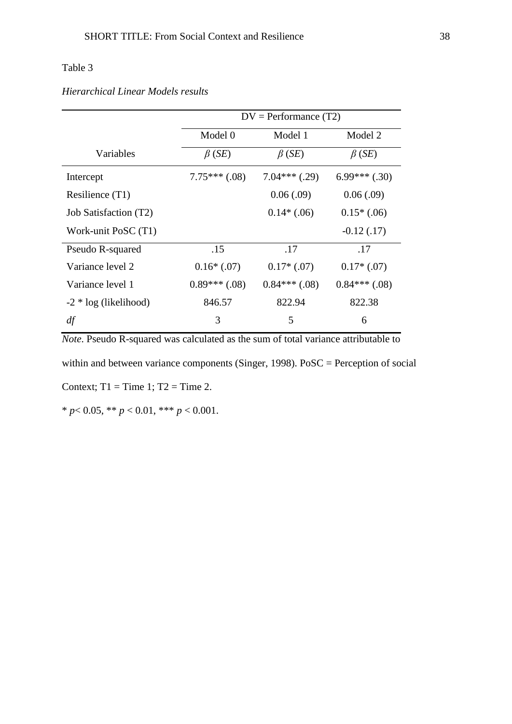# Table 3

|                         | $DV = Performance(T2)$ |                 |                 |  |  |  |
|-------------------------|------------------------|-----------------|-----------------|--|--|--|
|                         | Model 0<br>Model 1     |                 | Model 2         |  |  |  |
| Variables               | $\beta$ (SE)           | $\beta$ (SE)    | $\beta$ (SE)    |  |  |  |
| Intercept               | $7.75***$ (.08)        | $7.04***$ (.29) | $6.99***$ (.30) |  |  |  |
| Resilience (T1)         |                        | 0.06(.09)       | 0.06(.09)       |  |  |  |
| Job Satisfaction (T2)   |                        | $0.14*(0.06)$   | $0.15*(0.06)$   |  |  |  |
| Work-unit PoSC (T1)     |                        |                 | $-0.12(0.17)$   |  |  |  |
| Pseudo R-squared        | .15                    | .17             | .17             |  |  |  |
| Variance level 2        | $0.16*(0.07)$          | $0.17*(0.07)$   | $0.17*(0.07)$   |  |  |  |
| Variance level 1        | $0.89***$ (.08)        | $0.84***$ (.08) | $0.84***$ (.08) |  |  |  |
| $-2 * log (likelihood)$ | 846.57                 | 822.94          | 822.38          |  |  |  |
| df                      | 3                      | 5               | 6               |  |  |  |

# *Hierarchical Linear Models results*

*Note*. Pseudo R-squared was calculated as the sum of total variance attributable to within and between variance components (Singer, 1998). PoSC = Perception of social Context;  $T1 = Time 1$ ;  $T2 = Time 2$ .

\* *p*< 0.05, \*\* *p* < 0.01, \*\*\* *p* < 0.001.